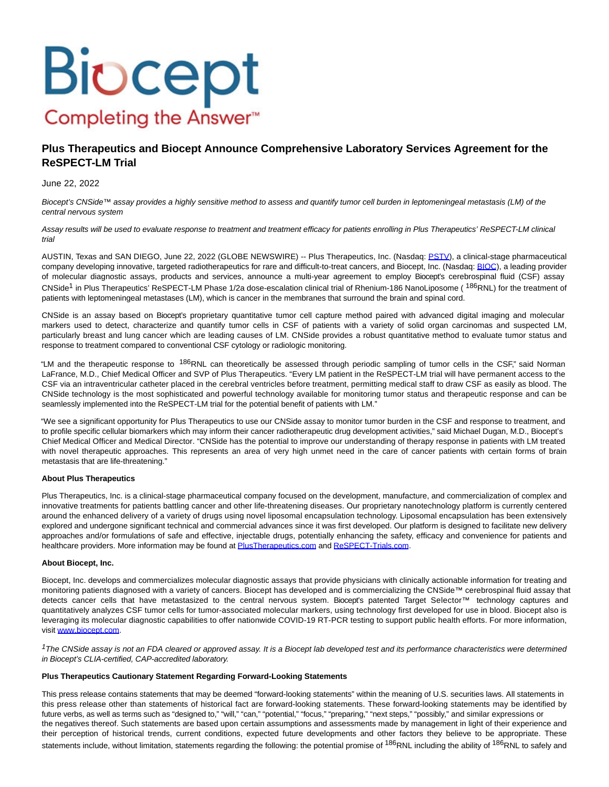# **Biocept** Completing the Answer<sup>™</sup>

## **Plus Therapeutics and Biocept Announce Comprehensive Laboratory Services Agreement for the ReSPECT-LM Trial**

### June 22, 2022

Biocept's CNSide™ assay provides a highly sensitive method to assess and quantify tumor cell burden in leptomeningeal metastasis (LM) of the central nervous system

Assay results will be used to evaluate response to treatment and treatment efficacy for patients enrolling in Plus Therapeutics' ReSPECT-LM clinical trial

AUSTIN, Texas and SAN DIEGO, June 22, 2022 (GLOBE NEWSWIRE) -- Plus Therapeutics, Inc. (Nasdaq: [PSTV\),](https://www.globenewswire.com/Tracker?data=-Z-y9L5vNEidNphbXVETnoqyQtG0v_Y0cCes3CG8vhEE-0Mq9XYI7HvcSCOROmnS8qYkfceBEOyWXT5p1WbjUDGJXo7mm5qiWR-GKgRajgQEFO6XWaxPqdt54Nj12-HX) a clinical-stage pharmaceutical company developing innovative, targeted radiotherapeutics for rare and difficult-to-treat cancers, and Biocept, Inc. (Nasdaq: [BIOC\)](https://www.globenewswire.com/Tracker?data=ffFNzNnNuld4Jnzql84bi2U4M1aGqeRBQL8xIou7JdoBbQP03RHOSEd0leMxOtnG0VFh38TNy-Ii8-rgbZkN5vJmKA2X0M9kU79lUHGf1PQ=), a leading provider of molecular diagnostic assays, products and services, announce a multi-year agreement to employ Biocept's cerebrospinal fluid (CSF) assay CNSide<sup>1</sup> in Plus Therapeutics' ReSPECT-LM Phase 1/2a dose-escalation clinical trial of Rhenium-186 NanoLiposome (<sup>186</sup>RNL) for the treatment of patients with leptomeningeal metastases (LM), which is cancer in the membranes that surround the brain and spinal cord.

CNSide is an assay based on Biocept's proprietary quantitative tumor cell capture method paired with advanced digital imaging and molecular markers used to detect, characterize and quantify tumor cells in CSF of patients with a variety of solid organ carcinomas and suspected LM, particularly breast and lung cancer which are leading causes of LM. CNSide provides a robust quantitative method to evaluate tumor status and response to treatment compared to conventional CSF cytology or radiologic monitoring.

"LM and the therapeutic response to <sup>186</sup>RNL can theoretically be assessed through periodic sampling of tumor cells in the CSF," said Norman LaFrance, M.D., Chief Medical Officer and SVP of Plus Therapeutics. "Every LM patient in the ReSPECT-LM trial will have permanent access to the CSF via an intraventricular catheter placed in the cerebral ventricles before treatment, permitting medical staff to draw CSF as easily as blood. The CNSide technology is the most sophisticated and powerful technology available for monitoring tumor status and therapeutic response and can be seamlessly implemented into the ReSPECT-LM trial for the potential benefit of patients with LM."

"We see a significant opportunity for Plus Therapeutics to use our CNSide assay to monitor tumor burden in the CSF and response to treatment, and to profile specific cellular biomarkers which may inform their cancer radiotherapeutic drug development activities," said Michael Dugan, M.D., Biocept's Chief Medical Officer and Medical Director. "CNSide has the potential to improve our understanding of therapy response in patients with LM treated with novel therapeutic approaches. This represents an area of very high unmet need in the care of cancer patients with certain forms of brain metastasis that are life-threatening."

#### **About Plus Therapeutics**

Plus Therapeutics, Inc. is a clinical-stage pharmaceutical company focused on the development, manufacture, and commercialization of complex and innovative treatments for patients battling cancer and other life-threatening diseases. Our proprietary nanotechnology platform is currently centered around the enhanced delivery of a variety of drugs using novel liposomal encapsulation technology. Liposomal encapsulation has been extensively explored and undergone significant technical and commercial advances since it was first developed. Our platform is designed to facilitate new delivery approaches and/or formulations of safe and effective, injectable drugs, potentially enhancing the safety, efficacy and convenience for patients and healthcare providers. More information may be found a[t PlusTherapeutics.com a](https://www.globenewswire.com/Tracker?data=42-_a0_G3-UAarNTXVKX6uql7NiEnSFWjMTOA8IUWeHMXhj9pKgaPtuzpG-ALhpPeWzxv892tHg-flieBLWpXZhpMYPUN4ppoU6_X4QQBt4=)nd [ReSPECT-Trials.com.](https://www.globenewswire.com/Tracker?data=NDdGzJ3dCMVVLBgZXC2NrRwCUyNiL1hMKWuxiqaDdGpQDFlDhW6E0xtsyVuioUMDDbczV_DTK7J-gpxRp02PB3ubwjjEmZ25Z_36f4xOQ20=)

#### **About Biocept, Inc.**

Biocept, Inc. develops and commercializes molecular diagnostic assays that provide physicians with clinically actionable information for treating and monitoring patients diagnosed with a variety of cancers. Biocept has developed and is commercializing the CNSide™ cerebrospinal fluid assay that detects cancer cells that have metastasized to the central nervous system. Biocept's patented Target Selector™ technology captures and quantitatively analyzes CSF tumor cells for tumor-associated molecular markers, using technology first developed for use in blood. Biocept also is leveraging its molecular diagnostic capabilities to offer nationwide COVID-19 RT-PCR testing to support public health efforts. For more information, visit [www.biocept.com.](https://www.globenewswire.com/Tracker?data=MjnGEqyN3xTHZOu1_SqrDgDCSAw9d0CQGFRlleinauswl1eISBNpTfzgWBW-GpjgQYZVk6Y7DPiK1Djg-Ddxmg==)

 $1$ The CNSide assay is not an FDA cleared or approved assay. It is a Biocept lab developed test and its performance characteristics were determined in Biocept's CLIA-certified, CAP-accredited laboratory.

#### **Plus Therapeutics Cautionary Statement Regarding Forward-Looking Statements**

This press release contains statements that may be deemed "forward-looking statements" within the meaning of U.S. securities laws. All statements in this press release other than statements of historical fact are forward-looking statements. These forward-looking statements may be identified by future verbs, as well as terms such as "designed to," "will," "can," "potential," "focus," "preparing," "next steps," "possibly," and similar expressions or the negatives thereof. Such statements are based upon certain assumptions and assessments made by management in light of their experience and their perception of historical trends, current conditions, expected future developments and other factors they believe to be appropriate. These statements include, without limitation, statements regarding the following: the potential promise of <sup>186</sup>RNL including the ability of <sup>186</sup>RNL to safely and